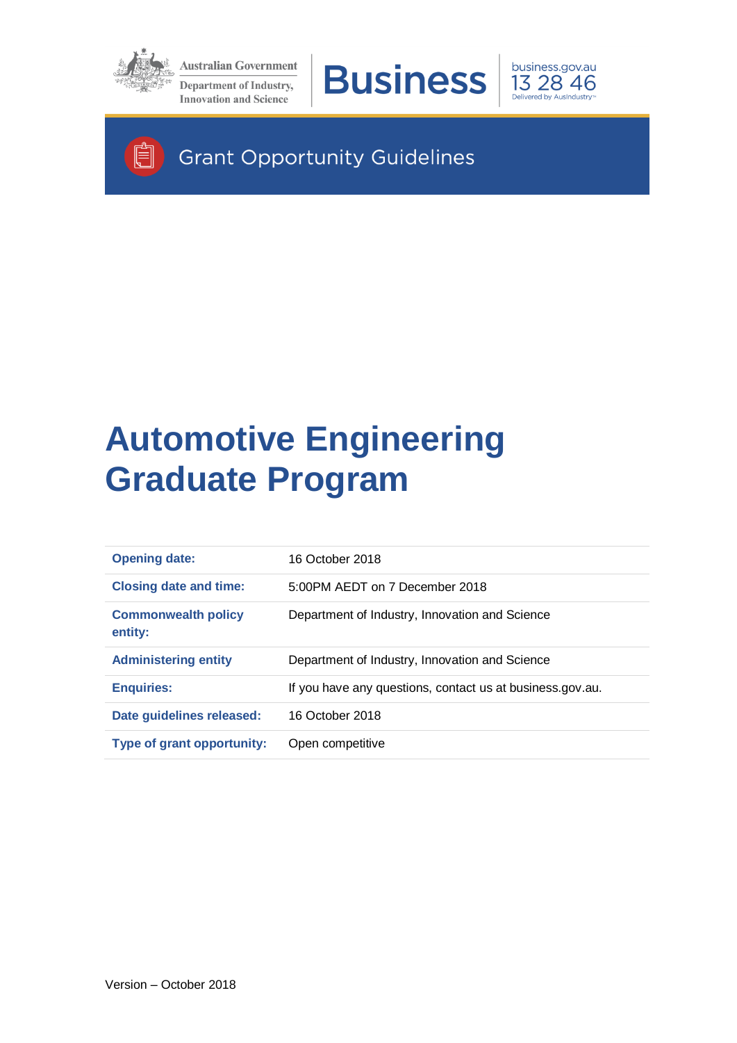

Ħ

**Australian Government** Department of Industry, **Innovation and Science** 





**Grant Opportunity Guidelines** 

# **Automotive Engineering Graduate Program**

| <b>Opening date:</b>                  | 16 October 2018                                           |
|---------------------------------------|-----------------------------------------------------------|
| <b>Closing date and time:</b>         | 5:00PM AEDT on 7 December 2018                            |
| <b>Commonwealth policy</b><br>entity: | Department of Industry, Innovation and Science            |
|                                       |                                                           |
| <b>Administering entity</b>           | Department of Industry, Innovation and Science            |
| <b>Enquiries:</b>                     | If you have any questions, contact us at business.gov.au. |
| Date guidelines released:             | 16 October 2018                                           |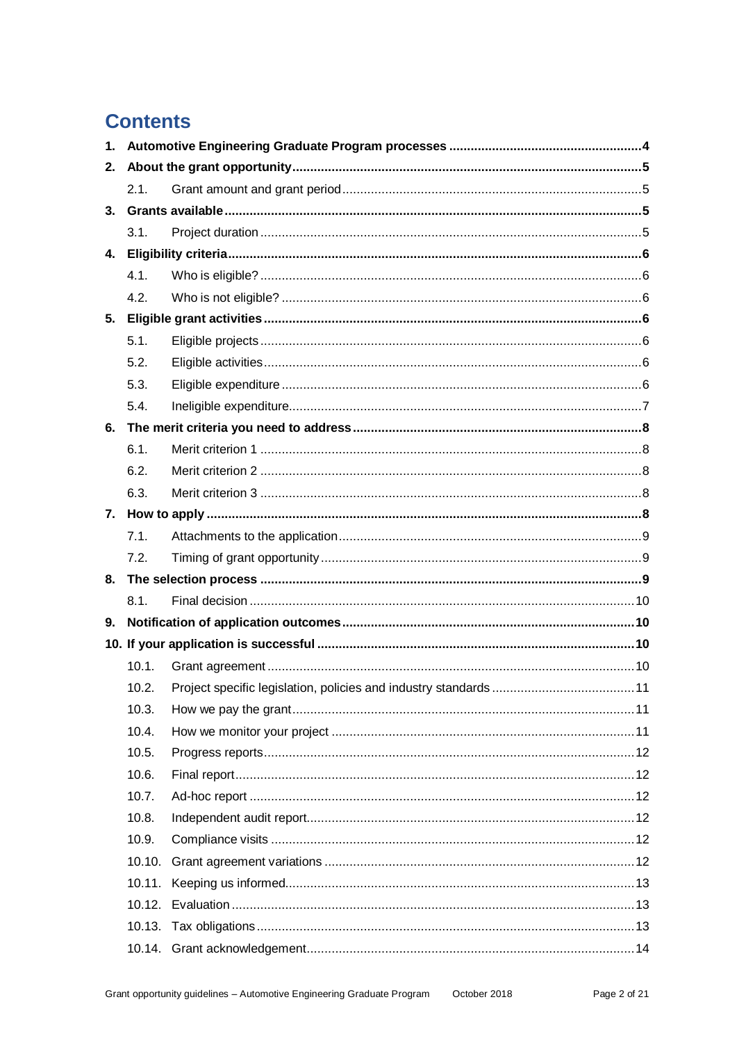# **Contents**

| 1. |        |  |
|----|--------|--|
| 2. |        |  |
|    | 2.1.   |  |
| 3. |        |  |
|    | 3.1.   |  |
| 4. |        |  |
|    | 4.1.   |  |
|    | 4.2.   |  |
| 5. |        |  |
|    | 5.1.   |  |
|    | 5.2.   |  |
|    | 5.3.   |  |
|    | 5.4.   |  |
| 6. |        |  |
|    | 6.1.   |  |
|    | 6.2.   |  |
|    | 6.3.   |  |
|    |        |  |
|    | 7.1.   |  |
|    | 7.2.   |  |
| 8. |        |  |
|    | 8.1.   |  |
| 9. |        |  |
|    |        |  |
|    | 10.1.  |  |
|    | 10.2.  |  |
|    | 10.3.  |  |
|    | 10.4.  |  |
|    | 10.5.  |  |
|    | 10.6.  |  |
|    | 10.7.  |  |
|    | 10.8.  |  |
|    | 10.9.  |  |
|    |        |  |
|    | 10.11. |  |
|    |        |  |
|    |        |  |
|    |        |  |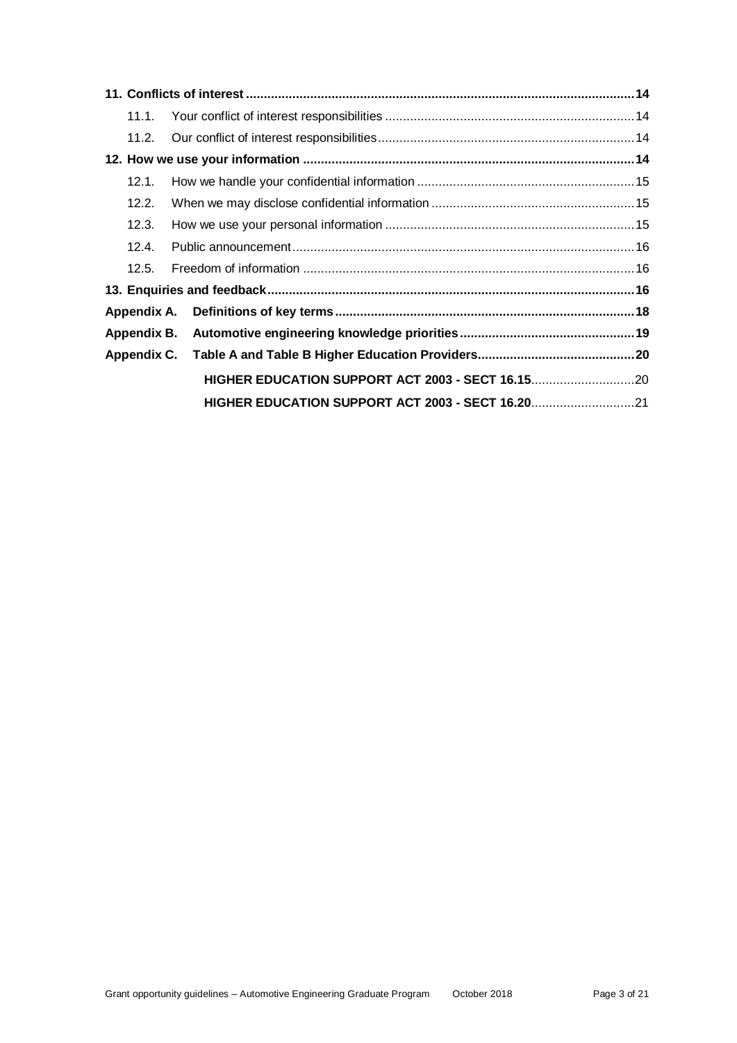| 11.1. |  |  |
|-------|--|--|
|       |  |  |
|       |  |  |
| 12.1. |  |  |
| 12.2. |  |  |
| 12.3. |  |  |
| 12.4. |  |  |
| 12.5  |  |  |
|       |  |  |
|       |  |  |
|       |  |  |
|       |  |  |
|       |  |  |
|       |  |  |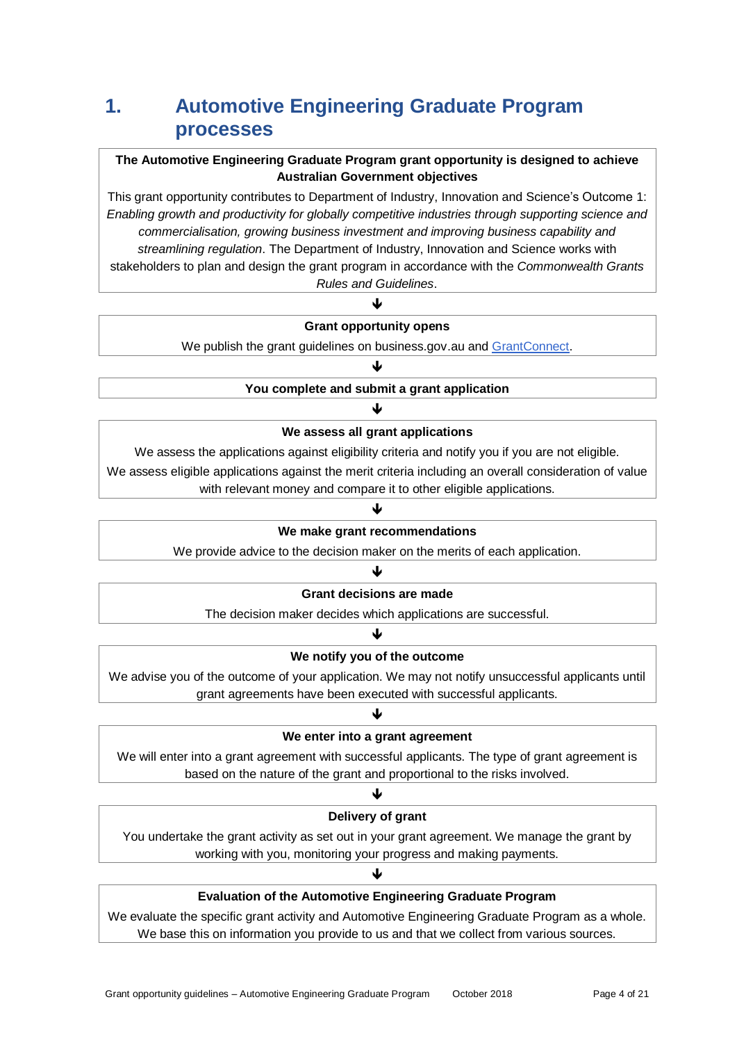# **1. Automotive Engineering Graduate Program processes**

#### **The Automotive Engineering Graduate Program grant opportunity is designed to achieve Australian Government objectives**

This grant opportunity contributes to Department of Industry, Innovation and Science's Outcome 1: *Enabling growth and productivity for globally competitive industries through supporting science and commercialisation, growing business investment and improving business capability and streamlining regulation*. The Department of Industry, Innovation and Science works with stakeholders to plan and design the grant program in accordance with the *Commonwealth Grants Rules and Guidelines*.

#### Ψ **Grant opportunity opens**

We publish the grant guidelines on business.gov.au and [GrantConnect.](https://www.grants.gov.au/)

#### J **You complete and submit a grant application**

#### ↓ **We assess all grant applications**

We assess the applications against eligibility criteria and notify you if you are not eligible.

We assess eligible applications against the merit criteria including an overall consideration of value with relevant money and compare it to other eligible applications.

#### ↓

#### **We make grant recommendations**

We provide advice to the decision maker on the merits of each application.

#### ♦

#### **Grant decisions are made**

The decision maker decides which applications are successful. J

#### **We notify you of the outcome**

We advise you of the outcome of your application. We may not notify unsuccessful applicants until grant agreements have been executed with successful applicants.

#### ♦ **We enter into a grant agreement**

We will enter into a grant agreement with successful applicants. The type of grant agreement is based on the nature of the grant and proportional to the risks involved.

#### J

#### **Delivery of grant**

You undertake the grant activity as set out in your grant agreement. We manage the grant by working with you, monitoring your progress and making payments.

#### ↓

#### **Evaluation of the Automotive Engineering Graduate Program**

We evaluate the specific grant activity and Automotive Engineering Graduate Program as a whole. We base this on information you provide to us and that we collect from various sources.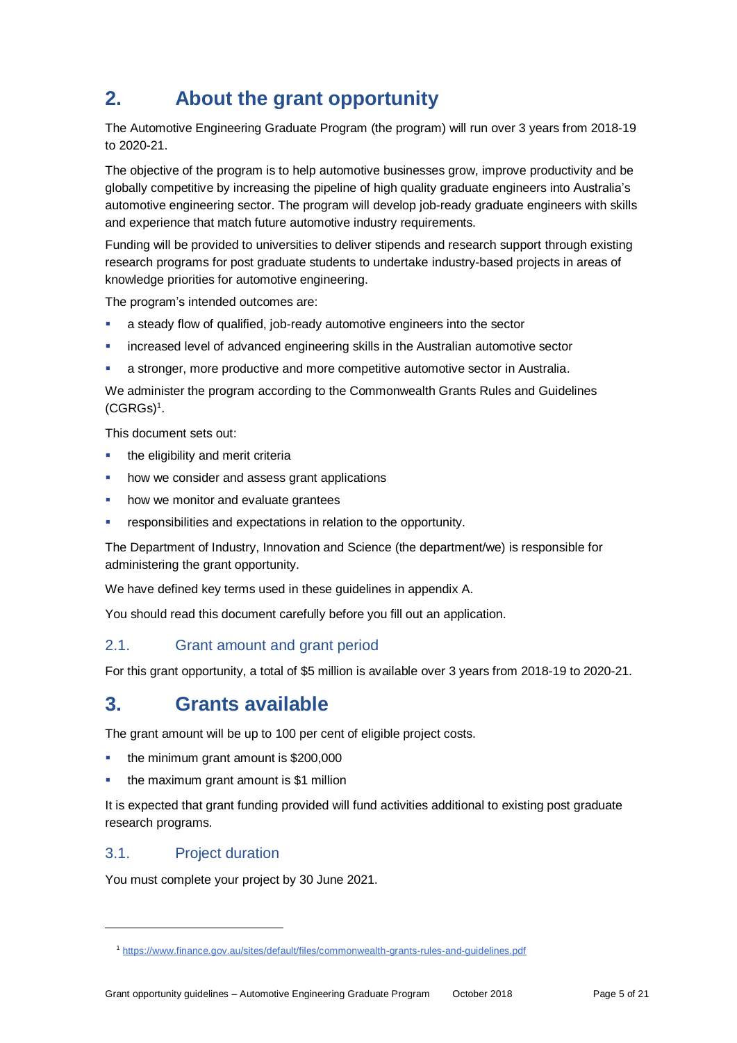# **2. About the grant opportunity**

The Automotive Engineering Graduate Program (the program) will run over 3 years from 2018-19 to 2020-21.

The objective of the program is to help automotive businesses grow, improve productivity and be globally competitive by increasing the pipeline of high quality graduate engineers into Australia's automotive engineering sector. The program will develop job-ready graduate engineers with skills and experience that match future automotive industry requirements.

Funding will be provided to universities to deliver stipends and research support through existing research programs for post graduate students to undertake industry-based projects in areas of knowledge priorities for automotive engineering.

The program's intended outcomes are:

- a steady flow of qualified, job-ready automotive engineers into the sector
- increased level of advanced engineering skills in the Australian automotive sector
- a stronger, more productive and more competitive automotive sector in Australia.

We administer the program according to the [Commonwealth Grants Rules and Guidelines](https://www.finance.gov.au/sites/default/files/commonwealth-grants-rules-and-guidelines-July2014.pdf)   $(CGRGs)^1$  $(CGRGs)^1$ .

This document sets out:

- the eligibility and merit criteria
- how we consider and assess grant applications
- how we monitor and evaluate grantees
- responsibilities and expectations in relation to the opportunity.

The Department of Industry, Innovation and Science (the department/we) is responsible for administering the grant opportunity.

We have defined key terms used in these guidelines in appendix A.

You should read this document carefully before you fill out an application.

#### 2.1. Grant amount and grant period

For this grant opportunity, a total of \$5 million is available over 3 years from 2018-19 to 2020-21.

### **3. Grants available**

The grant amount will be up to 100 per cent of eligible project costs.

- the minimum grant amount is \$200,000
- the maximum grant amount is \$1 million

It is expected that grant funding provided will fund activities additional to existing post graduate research programs.

#### 3.1. Project duration

l

You must complete your project by 30 June 2021.

<sup>1</sup> <https://www.finance.gov.au/sites/default/files/commonwealth-grants-rules-and-guidelines.pdf>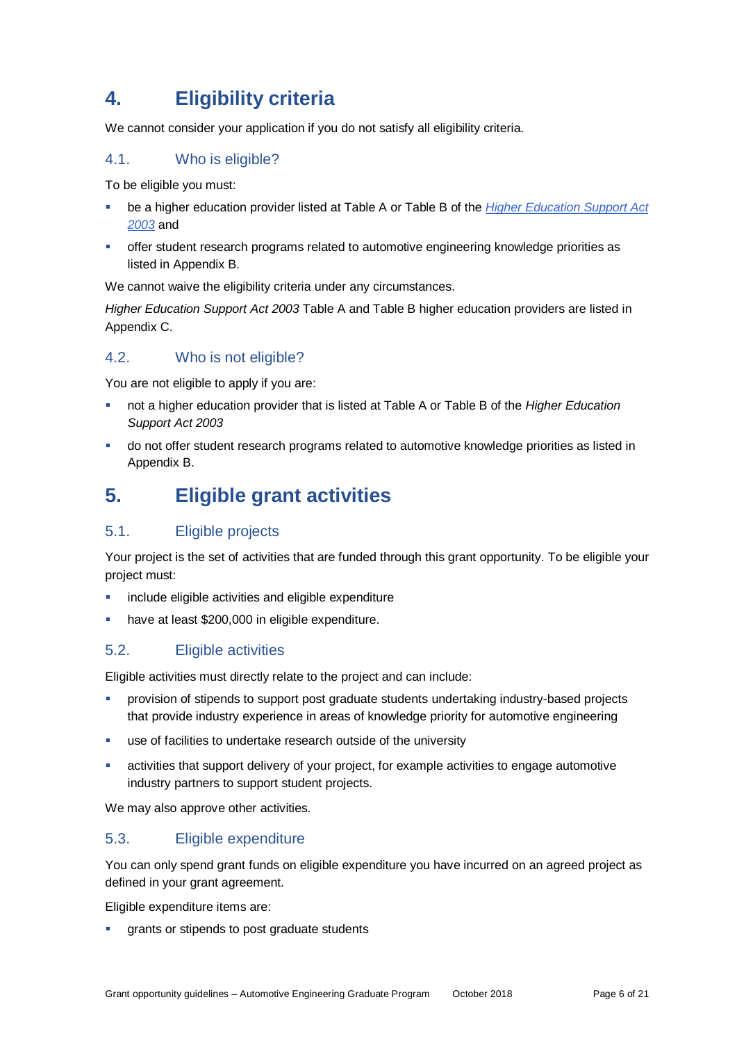# **4. Eligibility criteria**

We cannot consider your application if you do not satisfy all eligibility criteria.

#### 4.1. Who is eligible?

To be eligible you must:

- be a higher education provider listed at Table A or Table B of the *[Higher Education Support Act](http://www8.austlii.edu.au/cgi-bin/viewdb/au/legis/cth/consol_act/hesa2003271/)  [2003](http://www8.austlii.edu.au/cgi-bin/viewdb/au/legis/cth/consol_act/hesa2003271/)* and
- offer student research programs related to automotive engineering knowledge priorities as listed in Appendix B.

We cannot waive the eligibility criteria under any circumstances.

*Higher Education Support Act 2003* Table A and Table B higher education providers are listed in Appendix C.

#### 4.2. Who is not eligible?

You are not eligible to apply if you are:

- not a higher education provider that is listed at Table A or Table B of the *Higher Education Support Act 2003*
- do not offer student research programs related to automotive knowledge priorities as listed in Appendix B.

# **5. Eligible grant activities**

#### 5.1. Eligible projects

Your project is the set of activities that are funded through this grant opportunity. To be eligible your project must:

- **EXEDENT** include eligible activities and eligible expenditure
- have at least \$200,000 in eligible expenditure.

#### <span id="page-5-0"></span>5.2. Eligible activities

Eligible activities must directly relate to the project and can include:

- provision of stipends to support post graduate students undertaking industry-based projects that provide industry experience in areas of knowledge priority for automotive engineering
- use of facilities to undertake research outside of the university
- activities that support delivery of your project, for example activities to engage automotive industry partners to support student projects.

We may also approve other activities.

#### 5.3. Eligible expenditure

You can only spend grant funds on eligible expenditure you have incurred on an agreed project as defined in your grant agreement.

Eligible expenditure items are:

grants or stipends to post graduate students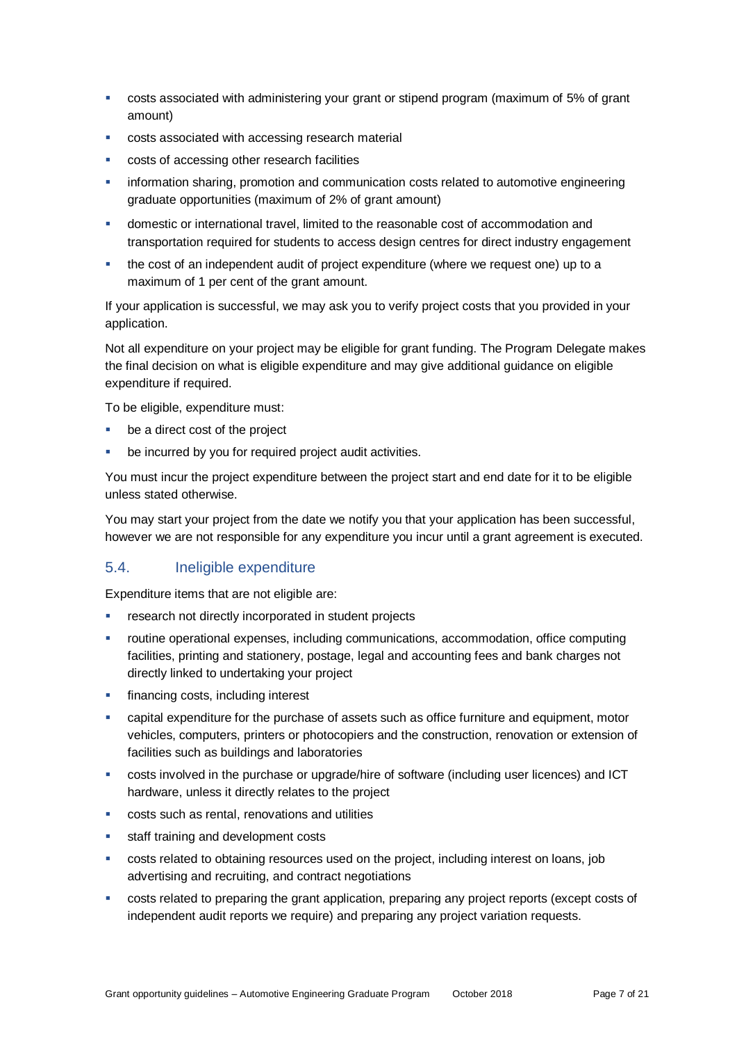- costs associated with administering your grant or stipend program (maximum of 5% of grant amount)
- costs associated with accessing research material
- costs of accessing other research facilities
- **information sharing, promotion and communication costs related to automotive engineering** graduate opportunities (maximum of 2% of grant amount)
- domestic or international travel, limited to the reasonable cost of accommodation and transportation required for students to access design centres for direct industry engagement
- the cost of an independent audit of project expenditure (where we request one) up to a maximum of 1 per cent of the grant amount.

If your application is successful, we may ask you to verify project costs that you provided in your application.

Not all expenditure on your project may be eligible for grant funding. The Program Delegate makes the final decision on what is eligible expenditure and may give additional guidance on eligible expenditure if required.

To be eligible, expenditure must:

- be a direct cost of the project
- be incurred by you for required project audit activities.

You must incur the project expenditure between the project start and end date for it to be eligible unless stated otherwise.

You may start your project from the date we notify you that your application has been successful, however we are not responsible for any expenditure you incur until a grant agreement is executed.

#### 5.4. Ineligible expenditure

Expenditure items that are not eligible are:

- research not directly incorporated in student projects
- routine operational expenses, including communications, accommodation, office computing facilities, printing and stationery, postage, legal and accounting fees and bank charges not directly linked to undertaking your project
- financing costs, including interest
- capital expenditure for the purchase of assets such as office furniture and equipment, motor vehicles, computers, printers or photocopiers and the construction, renovation or extension of facilities such as buildings and laboratories
- costs involved in the purchase or upgrade/hire of software (including user licences) and ICT hardware, unless it directly relates to the project
- costs such as rental, renovations and utilities
- **staff training and development costs**
- costs related to obtaining resources used on the project, including interest on loans, job advertising and recruiting, and contract negotiations
- costs related to preparing the grant application, preparing any project reports (except costs of independent audit reports we require) and preparing any project variation requests.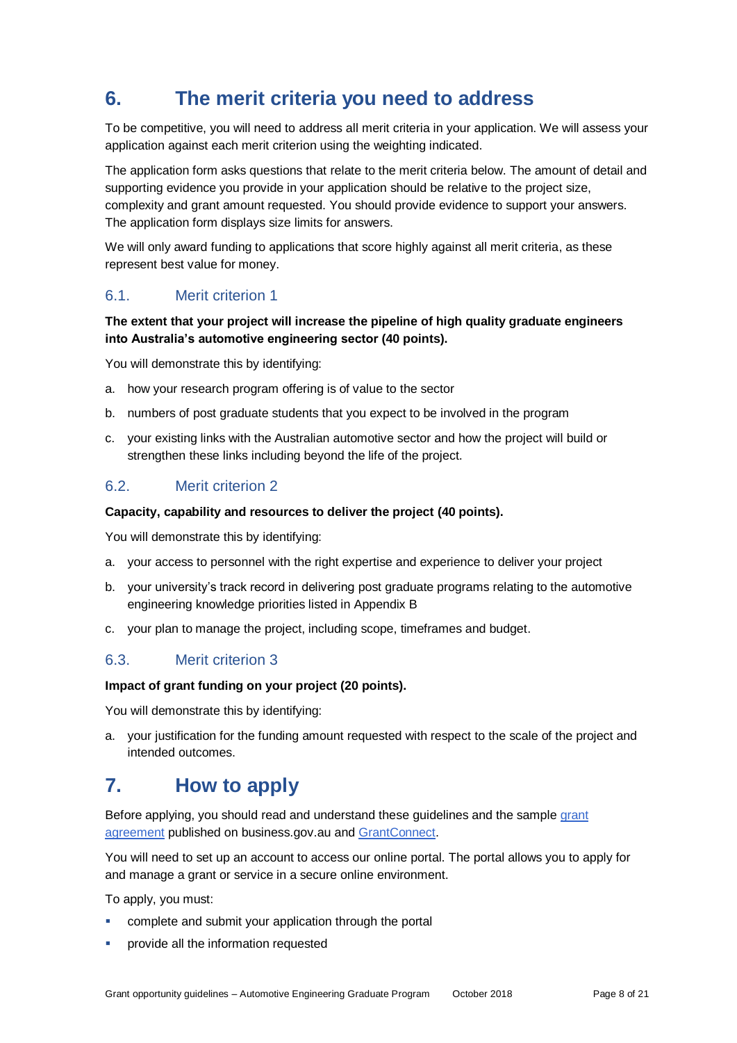# **6. The merit criteria you need to address**

To be competitive, you will need to address all merit criteria in your application. We will assess your application against each merit criterion using the weighting indicated.

The application form asks questions that relate to the merit criteria below. The amount of detail and supporting evidence you provide in your application should be relative to the project size, complexity and grant amount requested. You should provide evidence to support your answers. The application form displays size limits for answers.

We will only award funding to applications that score highly against all merit criteria, as these represent best value for money.

#### 6.1. Merit criterion 1

#### **The extent that your project will increase the pipeline of high quality graduate engineers into Australia's automotive engineering sector (40 points).**

You will demonstrate this by identifying:

- a. how your research program offering is of value to the sector
- b. numbers of post graduate students that you expect to be involved in the program
- c. your existing links with the Australian automotive sector and how the project will build or strengthen these links including beyond the life of the project.

#### 6.2. Merit criterion 2

#### **Capacity, capability and resources to deliver the project (40 points).**

You will demonstrate this by identifying:

- a. your access to personnel with the right expertise and experience to deliver your project
- b. your university's track record in delivering post graduate programs relating to the automotive engineering knowledge priorities listed in Appendix B
- c. your plan to manage the project, including scope, timeframes and budget.

#### 6.3. Merit criterion 3

#### **Impact of grant funding on your project (20 points).**

You will demonstrate this by identifying:

a. your justification for the funding amount requested with respect to the scale of the project and intended outcomes.

### **7. How to apply**

Before applying, you should read and understand these guidelines and the sample grant agreement published on business.gov.au an[d GrantConnect.](https://www.grants.gov.au/)

You will need to set up an account to access our online portal. The portal allows you to apply for and manage a grant or service in a secure online environment.

To apply, you must:

- complete and submit your application through the portal
- provide all the information requested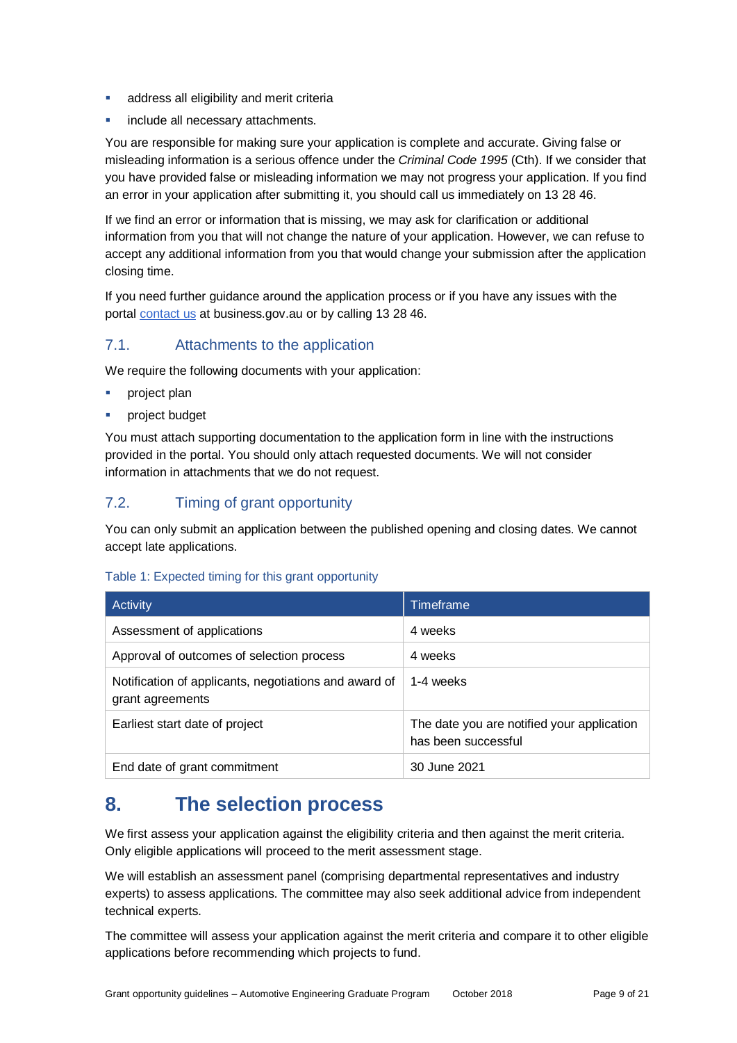- address all eligibility and merit criteria
- include all necessary attachments.

You are responsible for making sure your application is complete and accurate. Giving false or misleading information is a serious offence under the *Criminal Code 1995* (Cth). If we consider that you have provided false or misleading information we may not progress your application. If you find an error in your application after submitting it, you should call us immediately on 13 28 46.

If we find an error or information that is missing, we may ask for clarification or additional information from you that will not change the nature of your application. However, we can refuse to accept any additional information from you that would change your submission after the application closing time.

If you need further guidance around the application process or if you have any issues with the portal [contact us](https://www.business.gov.au/contact-us) at business.gov.au or by calling 13 28 46.

#### 7.1. Attachments to the application

We require the following documents with your application:

- project plan
- project budget

You must attach supporting documentation to the application form in line with the instructions provided in the portal. You should only attach requested documents. We will not consider information in attachments that we do not request.

#### 7.2. Timing of grant opportunity

You can only submit an application between the published opening and closing dates. We cannot accept late applications.

#### Table 1: Expected timing for this grant opportunity

| Activity                                                                  | Timeframe                                                         |
|---------------------------------------------------------------------------|-------------------------------------------------------------------|
| Assessment of applications                                                | 4 weeks                                                           |
| Approval of outcomes of selection process                                 | 4 weeks                                                           |
| Notification of applicants, negotiations and award of<br>grant agreements | 1-4 weeks                                                         |
| Earliest start date of project                                            | The date you are notified your application<br>has been successful |
| End date of grant commitment                                              | 30 June 2021                                                      |

### **8. The selection process**

We first assess your application against the eligibility criteria and then against the merit criteria. Only eligible applications will proceed to the merit assessment stage.

We will establish an assessment panel (comprising departmental representatives and industry experts) to assess applications. The committee may also seek additional advice from independent technical experts.

The committee will assess your application against the merit criteria and compare it to other eligible applications before recommending which projects to fund.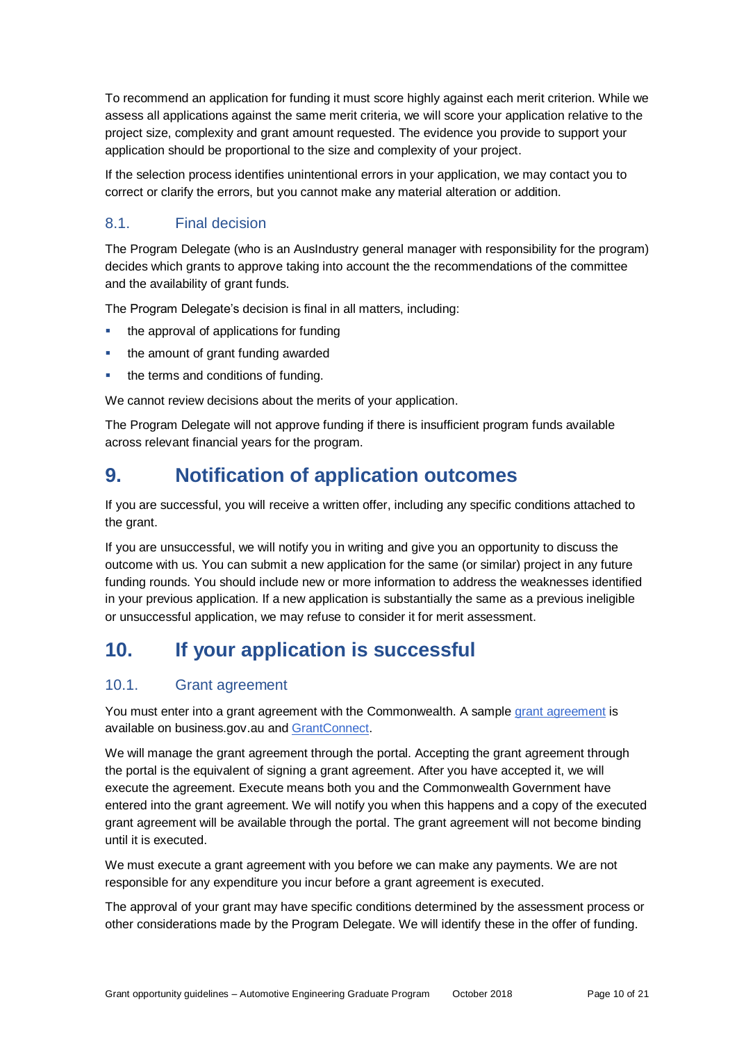To recommend an application for funding it must score highly against each merit criterion. While we assess all applications against the same merit criteria, we will score your application relative to the project size, complexity and grant amount requested. The evidence you provide to support your application should be proportional to the size and complexity of your project.

If the selection process identifies unintentional errors in your application, we may contact you to correct or clarify the errors, but you cannot make any material alteration or addition.

#### 8.1. Final decision

The Program Delegate (who is an AusIndustry general manager with responsibility for the program) decides which grants to approve taking into account the the recommendations of the committee and the availability of grant funds.

The Program Delegate's decision is final in all matters, including:

- the approval of applications for funding
- the amount of grant funding awarded
- the terms and conditions of funding.

We cannot review decisions about the merits of your application.

The Program Delegate will not approve funding if there is insufficient program funds available across relevant financial years for the program.

## **9. Notification of application outcomes**

If you are successful, you will receive a written offer, including any specific conditions attached to the grant.

If you are unsuccessful, we will notify you in writing and give you an opportunity to discuss the outcome with us. You can submit a new application for the same (or similar) project in any future funding rounds. You should include new or more information to address the weaknesses identified in your previous application. If a new application is substantially the same as a previous ineligible or unsuccessful application, we may refuse to consider it for merit assessment.

# **10. If your application is successful**

#### 10.1. Grant agreement

You must enter into a grant agreement with the Commonwealth. A sample grant agreement is available on business.gov.au an[d GrantConnect.](https://www.grants.gov.au/)

We will manage the grant agreement through the portal. Accepting the grant agreement through the portal is the equivalent of signing a grant agreement. After you have accepted it, we will execute the agreement. Execute means both you and the Commonwealth Government have entered into the grant agreement. We will notify you when this happens and a copy of the executed grant agreement will be available through the portal. The grant agreement will not become binding until it is executed.

We must execute a grant agreement with you before we can make any payments. We are not responsible for any expenditure you incur before a grant agreement is executed.

The approval of your grant may have specific conditions determined by the assessment process or other considerations made by the Program Delegate. We will identify these in the offer of funding.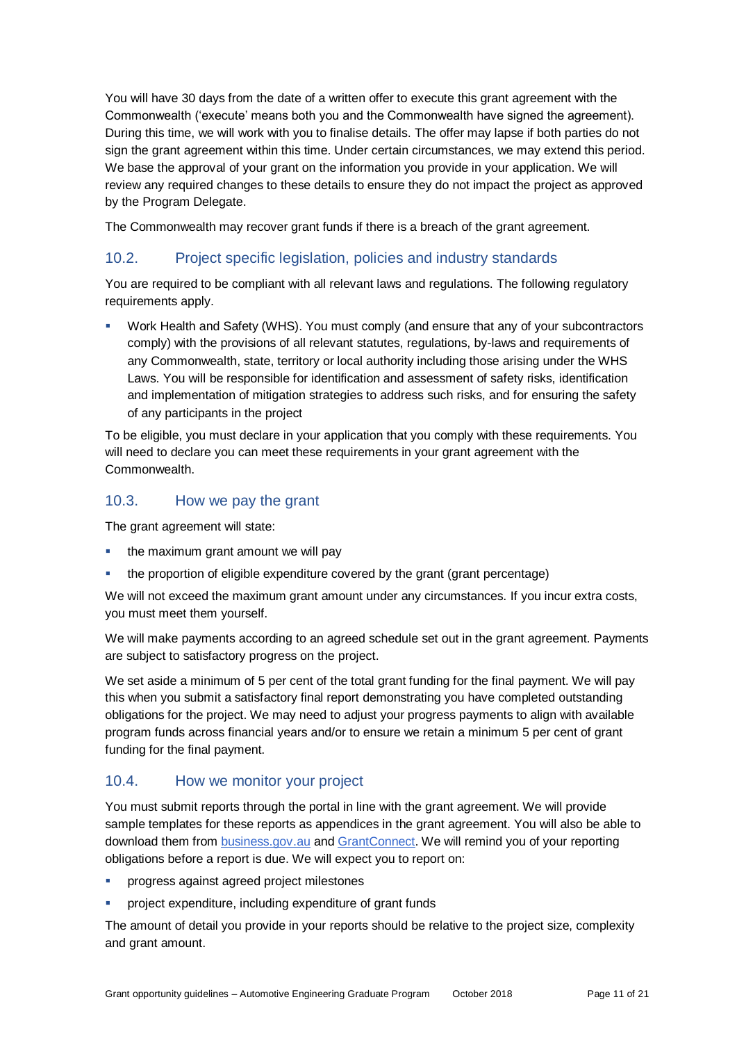You will have 30 days from the date of a written offer to execute this grant agreement with the Commonwealth ('execute' means both you and the Commonwealth have signed the agreement). During this time, we will work with you to finalise details. The offer may lapse if both parties do not sign the grant agreement within this time. Under certain circumstances, we may extend this period. We base the approval of your grant on the information you provide in your application. We will review any required changes to these details to ensure they do not impact the project as approved by the Program Delegate.

The Commonwealth may recover grant funds if there is a breach of the grant agreement.

#### 10.2. Project specific legislation, policies and industry standards

You are required to be compliant with all relevant laws and regulations. The following regulatory requirements apply.

 Work Health and Safety (WHS). You must comply (and ensure that any of your subcontractors comply) with the provisions of all relevant statutes, regulations, by-laws and requirements of any Commonwealth, state, territory or local authority including those arising under the WHS Laws. You will be responsible for identification and assessment of safety risks, identification and implementation of mitigation strategies to address such risks, and for ensuring the safety of any participants in the project

To be eligible, you must declare in your application that you comply with these requirements. You will need to declare you can meet these requirements in your grant agreement with the Commonwealth.

#### 10.3. How we pay the grant

The grant agreement will state:

- the maximum grant amount we will pay
- the proportion of eligible expenditure covered by the grant (grant percentage)

We will not exceed the maximum grant amount under any circumstances. If you incur extra costs, you must meet them yourself.

We will make payments according to an agreed schedule set out in the grant agreement. Payments are subject to satisfactory progress on the project.

We set aside a minimum of 5 per cent of the total grant funding for the final payment. We will pay this when you submit a satisfactory final report demonstrating you have completed outstanding obligations for the project. We may need to adjust your progress payments to align with available program funds across financial years and/or to ensure we retain a minimum 5 per cent of grant funding for the final payment.

#### 10.4. How we monitor your project

You must submit reports through the portal in line with the [grant agreement.](file://///prod.protected.ind/User/user03/LLau2/insert%20link%20here) We will provide sample templates for these reports as appendices in the grant agreement. You will also be able to download them from **business.gov.au and GrantConnect**. We will remind you of your reporting obligations before a report is due. We will expect you to report on:

- progress against agreed project milestones
- project expenditure, including expenditure of grant funds

The amount of detail you provide in your reports should be relative to the project size, complexity and grant amount.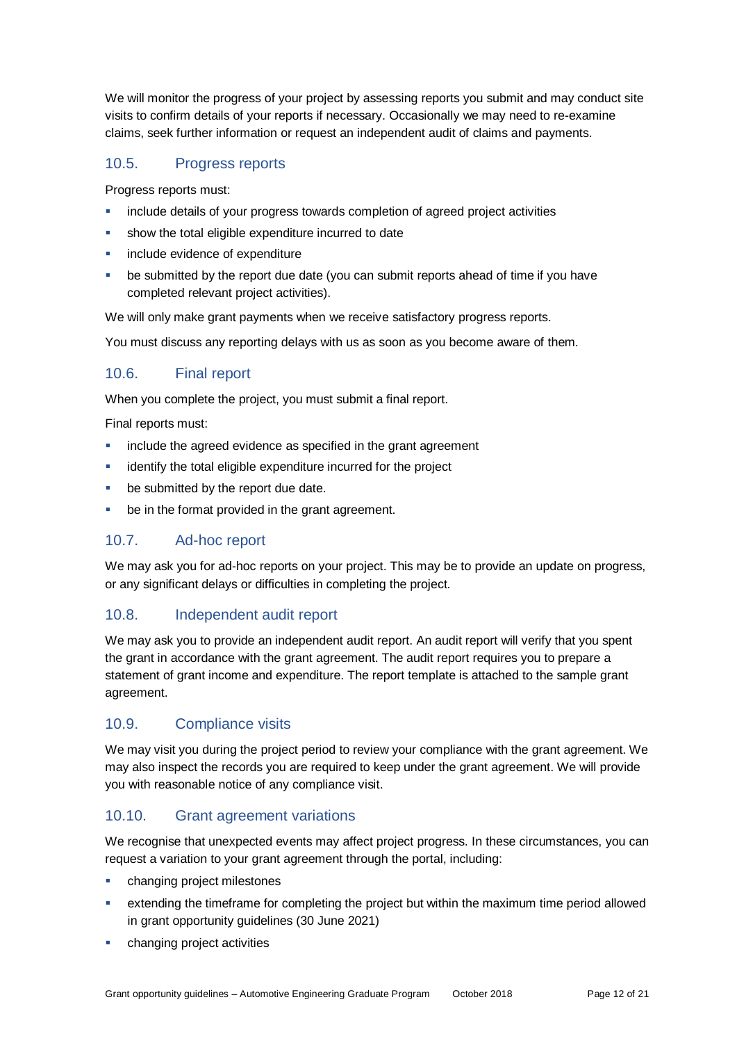We will monitor the progress of your project by assessing reports you submit and may conduct site visits to confirm details of your reports if necessary. Occasionally we may need to re-examine claims, seek further information or request an independent audit of claims and payments.

#### 10.5. Progress reports

Progress reports must:

- include details of your progress towards completion of agreed project activities
- show the total eligible expenditure incurred to date
- include evidence of expenditure
- be submitted by the report due date (you can submit reports ahead of time if you have completed relevant project activities).

We will only make grant payments when we receive satisfactory progress reports.

You must discuss any reporting delays with us as soon as you become aware of them.

#### 10.6. Final report

When you complete the project, you must submit a final report.

Final reports must:

- **EXECT** include the agreed evidence as specified in the grant agreement
- identify the total eligible expenditure incurred for the project
- be submitted by the report due date.
- **•** be in the format provided in the grant agreement.

#### 10.7. Ad-hoc report

We may ask you for ad-hoc reports on your project. This may be to provide an update on progress, or any significant delays or difficulties in completing the project.

#### 10.8. Independent audit report

We may ask you to provide an independent audit report. An audit report will verify that you spent the grant in accordance with the grant agreement. The audit report requires you to prepare a statement of grant income and expenditure. The report template is attached to the sample grant agreement.

#### 10.9. Compliance visits

We may visit you during the project period to review your compliance with the grant agreement. We may also inspect the records you are required to keep under the grant agreement. We will provide you with reasonable notice of any compliance visit.

#### 10.10. Grant agreement variations

We recognise that unexpected events may affect project progress. In these circumstances, you can request a variation to your grant agreement through the portal, including:

- changing project milestones
- extending the timeframe for completing the project but within the maximum time period allowed in grant opportunity guidelines (30 June 2021)
- changing project activities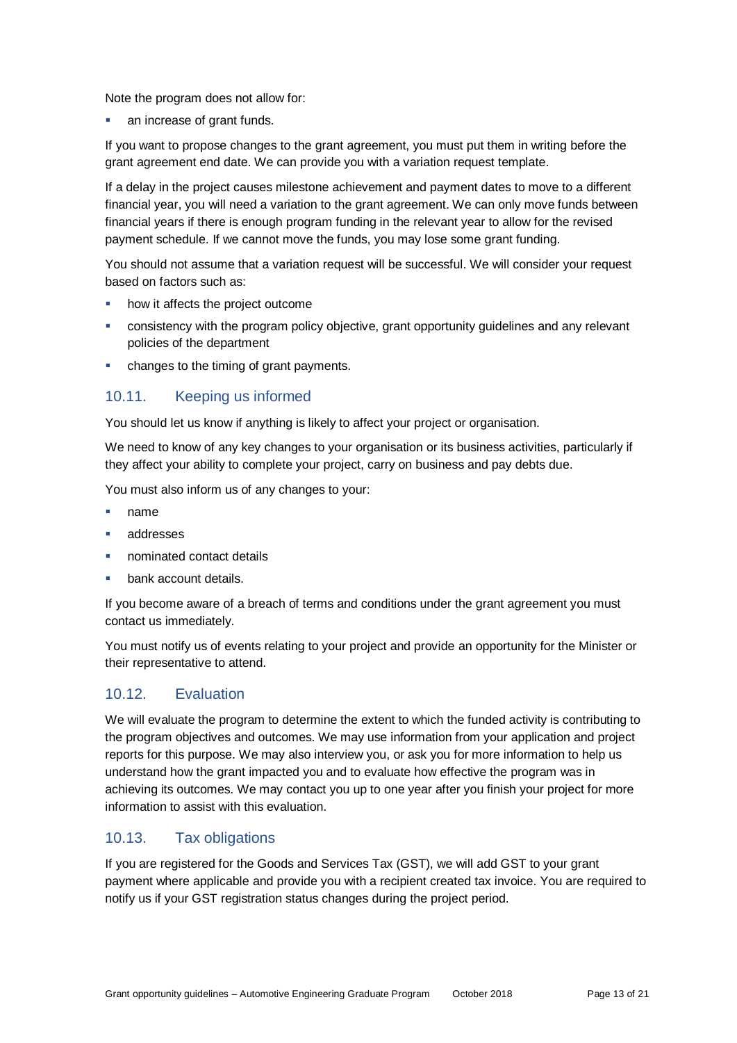Note the program does not allow for:

an increase of grant funds.

If you want to propose changes to the grant agreement, you must put them in writing before the grant agreement end date. We can provide you with a variation request template.

If a delay in the project causes milestone achievement and payment dates to move to a different financial year, you will need a variation to the grant agreement. We can only move funds between financial years if there is enough program funding in the relevant year to allow for the revised payment schedule. If we cannot move the funds, you may lose some grant funding.

You should not assume that a variation request will be successful. We will consider your request based on factors such as:

- how it affects the project outcome
- consistency with the program policy objective, grant opportunity guidelines and any relevant policies of the department
- changes to the timing of grant payments.

#### 10.11. Keeping us informed

You should let us know if anything is likely to affect your project or organisation.

We need to know of any key changes to your organisation or its business activities, particularly if they affect your ability to complete your project, carry on business and pay debts due.

You must also inform us of any changes to your:

- name
- addresses
- nominated contact details
- bank account details.

If you become aware of a breach of terms and conditions under the grant agreement you must contact us immediately.

You must notify us of events relating to your project and provide an opportunity for the Minister or their representative to attend.

#### 10.12. Evaluation

We will evaluate the program to determine the extent to which the funded activity is contributing to the program objectives and outcomes. We may use information from your application and project reports for this purpose. We may also interview you, or ask you for more information to help us understand how the grant impacted you and to evaluate how effective the program was in achieving its outcomes. We may contact you up to one year after you finish your project for more information to assist with this evaluation.

#### 10.13. Tax obligations

If you are registered for the Goods and Services Tax (GST), we will add GST to your grant payment where applicable and provide you with a recipient created tax invoice. You are required to notify us if your GST registration status changes during the project period.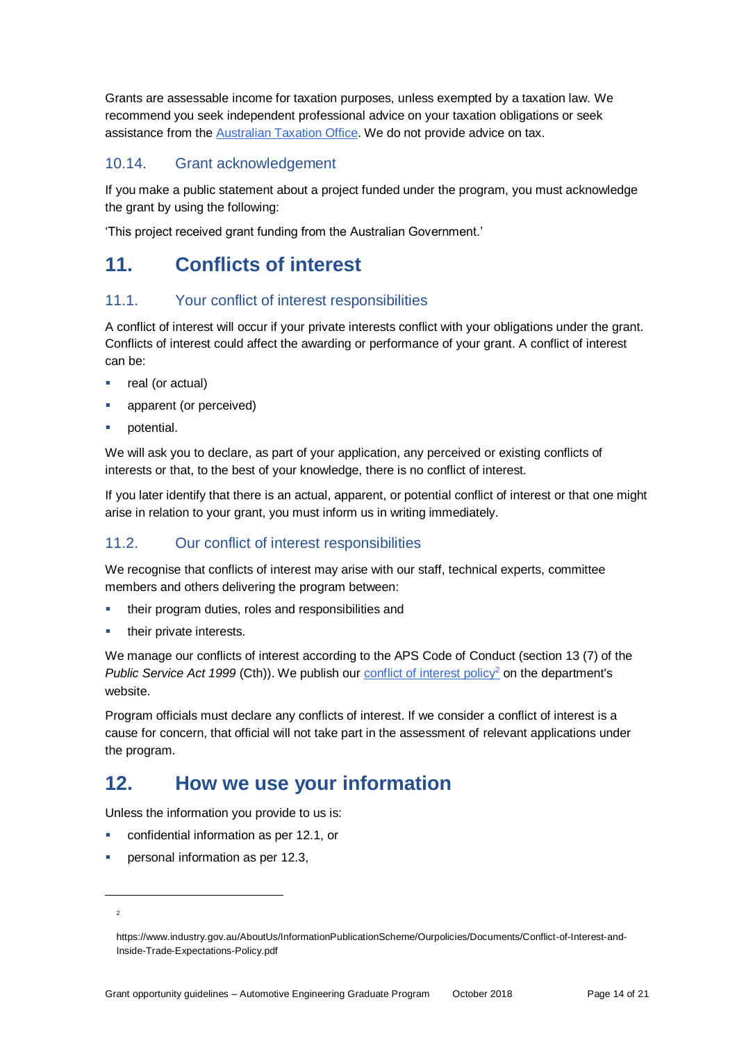Grants are assessable income for taxation purposes, unless exempted by a taxation law. We recommend you seek independent professional advice on your taxation obligations or seek assistance from the [Australian Taxation Office.](https://www.ato.gov.au/) We do not provide advice on tax.

#### 10.14. Grant acknowledgement

If you make a public statement about a project funded under the program, you must acknowledge the grant by using the following:

'This project received grant funding from the Australian Government.'

### **11. Conflicts of interest**

#### 11.1. Your conflict of interest responsibilities

A conflict of interest will occur if your private interests conflict with your obligations under the grant. Conflicts of interest could affect the awarding or performance of your grant. A conflict of interest can be:

- real (or actual)
- apparent (or perceived)
- potential.

We will ask you to declare, as part of your application, any perceived or existing conflicts of interests or that, to the best of your knowledge, there is no conflict of interest.

If you later identify that there is an actual, apparent, or potential conflict of interest or that one might arise in relation to your grant, you must inform us in writing immediately.

#### 11.2. Our conflict of interest responsibilities

We recognise that conflicts of interest may arise with our staff, technical experts, committee members and others delivering the program between:

- their program duties, roles and responsibilities and
- their private interests.

We manage our conflicts of interest according to the APS Code of Conduct (section 13 (7) of the *Public Service Act 1999* (Cth)). We publish our **conflict [of interest policy](https://www.industry.gov.au/AboutUs/InformationPublicationScheme/Ourpolicies/Documents/Conflict-of-Interest-and-Inside-Trade-Expectations-Policy.pdf)<sup>2</sup>** on the department's website.

Program officials must declare any conflicts of interest. If we consider a conflict of interest is a cause for concern, that official will not take part in the assessment of relevant applications under the program.

### **12. How we use your information**

Unless the information you provide to us is:

- confidential information as per [12.1,](#page-14-0) or
- personal information as per [12.3,](#page-14-1)

l

<sup>2</sup>

https://www.industry.gov.au/AboutUs/InformationPublicationScheme/Ourpolicies/Documents/Conflict-of-Interest-and-Inside-Trade-Expectations-Policy.pdf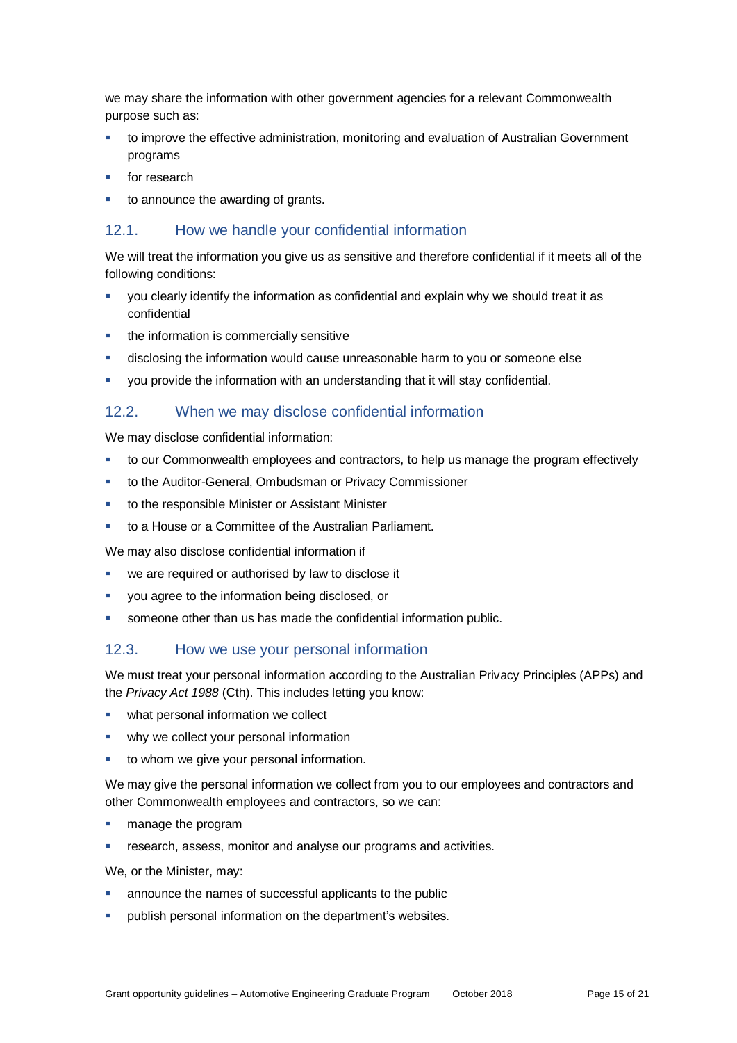we may share the information with other government agencies for a relevant Commonwealth purpose such as:

- to improve the effective administration, monitoring and evaluation of Australian Government programs
- for research
- to announce the awarding of grants.

#### <span id="page-14-0"></span>12.1. How we handle your confidential information

We will treat the information you give us as sensitive and therefore confidential if it meets all of the following conditions:

- you clearly identify the information as confidential and explain why we should treat it as confidential
- the information is commercially sensitive
- disclosing the information would cause unreasonable harm to you or someone else
- you provide the information with an understanding that it will stay confidential.

#### 12.2. When we may disclose confidential information

We may disclose confidential information:

- to our Commonwealth employees and contractors, to help us manage the program effectively
- to the Auditor-General, Ombudsman or Privacy Commissioner
- to the responsible Minister or Assistant Minister
- to a House or a Committee of the Australian Parliament.

We may also disclose confidential information if

- we are required or authorised by law to disclose it
- you agree to the information being disclosed, or
- someone other than us has made the confidential information public.

#### <span id="page-14-1"></span>12.3. How we use your personal information

We must treat your personal information according to the Australian Privacy Principles (APPs) and the *Privacy Act 1988* (Cth). This includes letting you know:

- what personal information we collect
- why we collect your personal information
- to whom we give your personal information.

We may give the personal information we collect from you to our employees and contractors and other Commonwealth employees and contractors, so we can:

- manage the program
- **F** research, assess, monitor and analyse our programs and activities.

We, or the Minister, may:

- announce the names of successful applicants to the public
- publish personal information on the department's websites.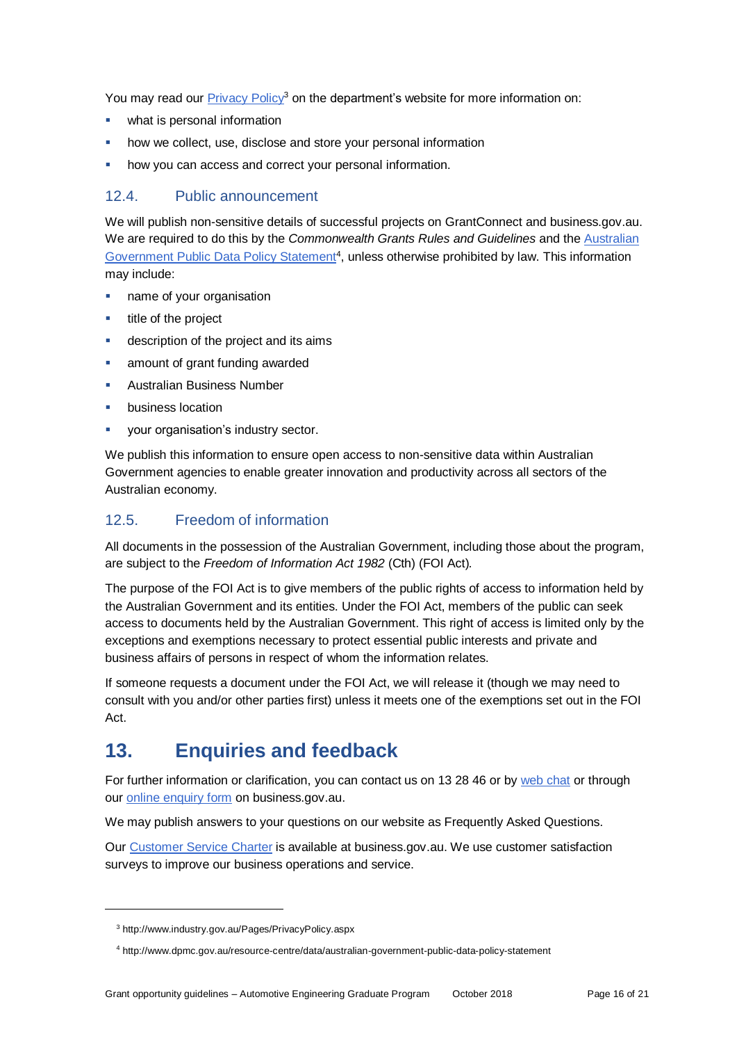You may read our [Privacy Policy](http://www.industry.gov.au/Pages/PrivacyPolicy.aspx)<sup>3</sup> on the department's website for more information on:

- what is personal information
- how we collect, use, disclose and store your personal information
- how you can access and correct your personal information.

#### 12.4. Public announcement

We will publish non-sensitive details of successful projects on GrantConnect and business.gov.au. We are required to do this by the *Commonwealth Grants Rules and Guidelines* and the [Australian](http://www.dpmc.gov.au/resource-centre/data/australian-government-public-data-policy-statement)  [Government Public Data Policy Statement](http://www.dpmc.gov.au/resource-centre/data/australian-government-public-data-policy-statement)<sup>4</sup>, unless otherwise prohibited by law. This information may include:

- name of your organisation
- title of the project
- description of the project and its aims
- amount of grant funding awarded
- Australian Business Number
- business location
- your organisation's industry sector.

We publish this information to ensure open access to non-sensitive data within Australian Government agencies to enable greater innovation and productivity across all sectors of the Australian economy.

#### 12.5. Freedom of information

All documents in the possession of the Australian Government, including those about the program, are subject to the *Freedom of Information Act 1982* (Cth) (FOI Act)*.*

The purpose of the FOI Act is to give members of the public rights of access to information held by the Australian Government and its entities. Under the FOI Act, members of the public can seek access to documents held by the Australian Government. This right of access is limited only by the exceptions and exemptions necessary to protect essential public interests and private and business affairs of persons in respect of whom the information relates.

If someone requests a document under the FOI Act, we will release it (though we may need to consult with you and/or other parties first) unless it meets one of the exemptions set out in the FOI Act.

# **13. Enquiries and feedback**

For further information or clarification, you can contact us on 13 28 46 or by [web chat](https://www.business.gov.au/contact-us) or through our [online enquiry form](http://www.business.gov.au/contact-us/Pages/default.aspx) on business.gov.au.

We may publish answers to your questions on our website as Frequently Asked Questions.

Our [Customer Service Charter](https://www.business.gov.au/about/customer-service-charter) is available at [business.gov.au.](http://www.business.gov.au/) We use customer satisfaction surveys to improve our business operations and service.

l

<sup>3</sup> http://www.industry.gov.au/Pages/PrivacyPolicy.aspx

<sup>4</sup> http://www.dpmc.gov.au/resource-centre/data/australian-government-public-data-policy-statement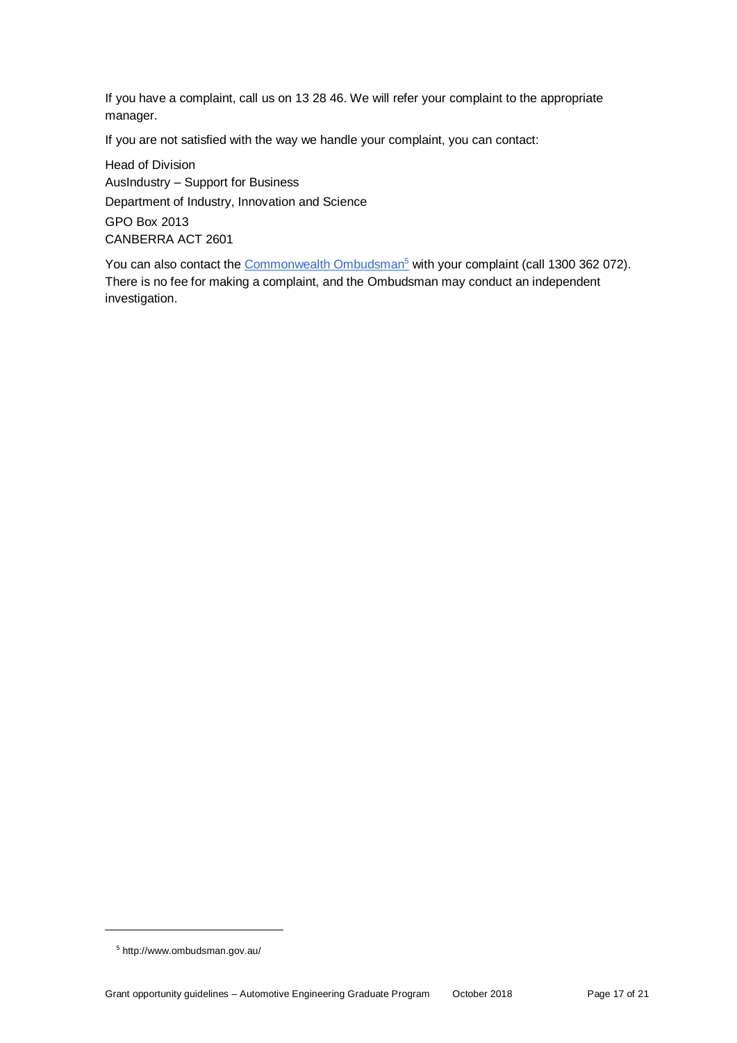If you have a complaint, call us on 13 28 46. We will refer your complaint to the appropriate manager.

If you are not satisfied with the way we handle your complaint, you can contact:

Head of Division AusIndustry – Support for Business Department of Industry, Innovation and Science GPO Box 2013 CANBERRA ACT 2601

You can also contact the [Commonwealth Ombudsman](http://www.ombudsman.gov.au/)<sup>5</sup> with your complaint (call 1300 362 072). There is no fee for making a complaint, and the Ombudsman may conduct an independent investigation.

l

<sup>5</sup> http://www.ombudsman.gov.au/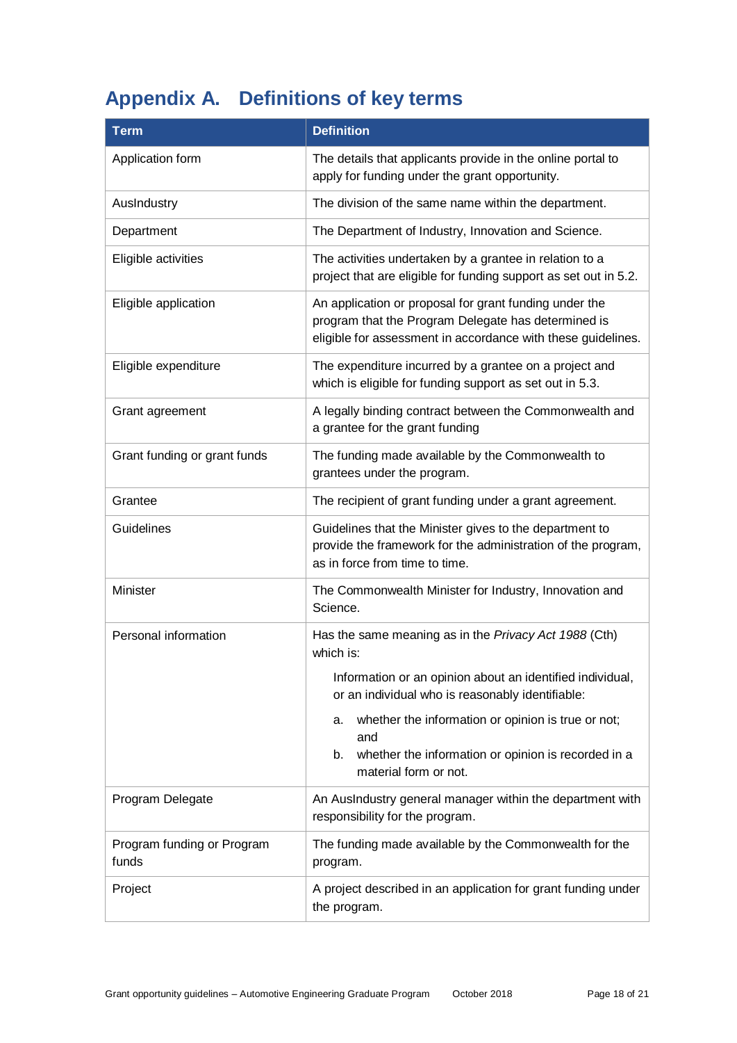# **Appendix A. Definitions of key terms**

| <b>Term</b>                         | <b>Definition</b>                                                                                                                                                             |
|-------------------------------------|-------------------------------------------------------------------------------------------------------------------------------------------------------------------------------|
| Application form                    | The details that applicants provide in the online portal to<br>apply for funding under the grant opportunity.                                                                 |
| AusIndustry                         | The division of the same name within the department.                                                                                                                          |
| Department                          | The Department of Industry, Innovation and Science.                                                                                                                           |
| Eligible activities                 | The activities undertaken by a grantee in relation to a<br>project that are eligible for funding support as set out in 5.2.                                                   |
| Eligible application                | An application or proposal for grant funding under the<br>program that the Program Delegate has determined is<br>eligible for assessment in accordance with these guidelines. |
| Eligible expenditure                | The expenditure incurred by a grantee on a project and<br>which is eligible for funding support as set out in 5.3.                                                            |
| Grant agreement                     | A legally binding contract between the Commonwealth and<br>a grantee for the grant funding                                                                                    |
| Grant funding or grant funds        | The funding made available by the Commonwealth to<br>grantees under the program.                                                                                              |
| Grantee                             | The recipient of grant funding under a grant agreement.                                                                                                                       |
| Guidelines                          | Guidelines that the Minister gives to the department to<br>provide the framework for the administration of the program,<br>as in force from time to time.                     |
| Minister                            | The Commonwealth Minister for Industry, Innovation and<br>Science.                                                                                                            |
| Personal information                | Has the same meaning as in the Privacy Act 1988 (Cth)<br>which is:                                                                                                            |
|                                     | Information or an opinion about an identified individual,<br>or an individual who is reasonably identifiable:                                                                 |
|                                     | whether the information or opinion is true or not;<br>а.<br>and                                                                                                               |
|                                     | whether the information or opinion is recorded in a<br>b.<br>material form or not.                                                                                            |
| Program Delegate                    | An AusIndustry general manager within the department with<br>responsibility for the program.                                                                                  |
| Program funding or Program<br>funds | The funding made available by the Commonwealth for the<br>program.                                                                                                            |
| Project                             | A project described in an application for grant funding under<br>the program.                                                                                                 |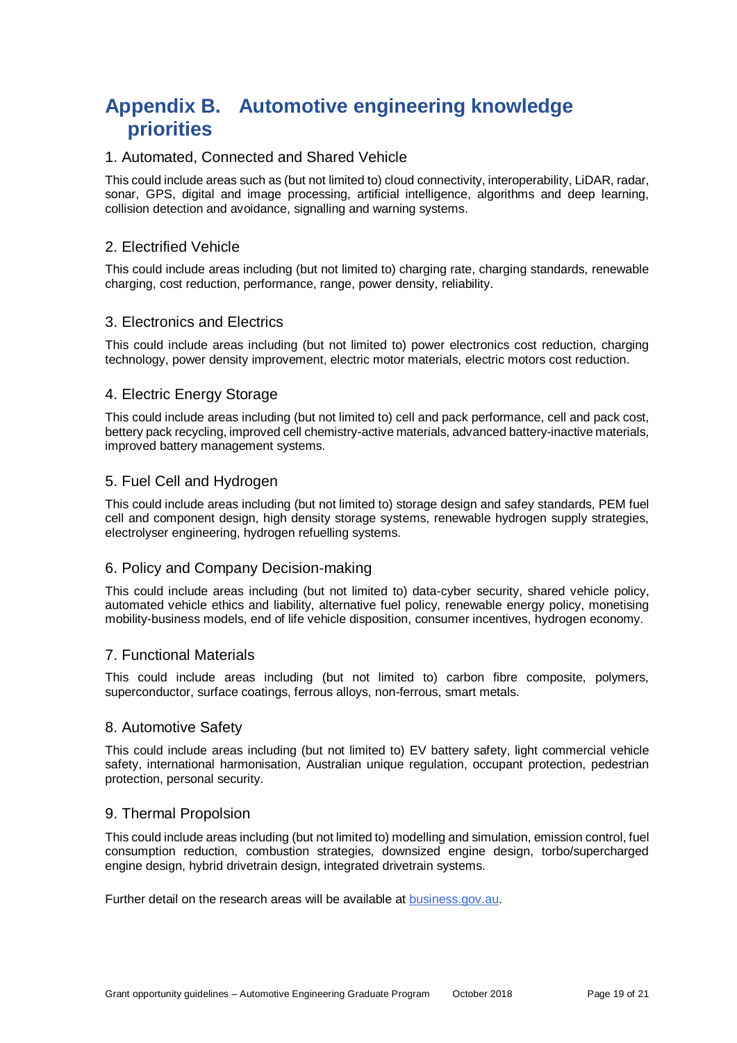# **Appendix B. Automotive engineering knowledge priorities**

#### 1. Automated, Connected and Shared Vehicle

This could include areas such as (but not limited to) cloud connectivity, interoperability, LiDAR, radar, sonar, GPS, digital and image processing, artificial intelligence, algorithms and deep learning, collision detection and avoidance, signalling and warning systems.

#### 2. Electrified Vehicle

This could include areas including (but not limited to) charging rate, charging standards, renewable charging, cost reduction, performance, range, power density, reliability.

#### 3. Electronics and Electrics

This could include areas including (but not limited to) power electronics cost reduction, charging technology, power density improvement, electric motor materials, electric motors cost reduction.

#### 4. Electric Energy Storage

This could include areas including (but not limited to) cell and pack performance, cell and pack cost, bettery pack recycling, improved cell chemistry-active materials, advanced battery-inactive materials, improved battery management systems.

#### 5. Fuel Cell and Hydrogen

This could include areas including (but not limited to) storage design and safey standards, PEM fuel cell and component design, high density storage systems, renewable hydrogen supply strategies, electrolyser engineering, hydrogen refuelling systems.

#### 6. Policy and Company Decision-making

This could include areas including (but not limited to) data-cyber security, shared vehicle policy, automated vehicle ethics and liability, alternative fuel policy, renewable energy policy, monetising mobility-business models, end of life vehicle disposition, consumer incentives, hydrogen economy.

#### 7. Functional Materials

This could include areas including (but not limited to) carbon fibre composite, polymers, superconductor, surface coatings, ferrous alloys, non-ferrous, smart metals.

#### 8. Automotive Safety

This could include areas including (but not limited to) EV battery safety, light commercial vehicle safety, international harmonisation, Australian unique regulation, occupant protection, pedestrian protection, personal security.

#### 9. Thermal Propolsion

This could include areas including (but not limited to) modelling and simulation, emission control, fuel consumption reduction, combustion strategies, downsized engine design, torbo/supercharged engine design, hybrid drivetrain design, integrated drivetrain systems.

Further detail on the research areas will be available at [business.gov.au.](http://www.business.gov.au/)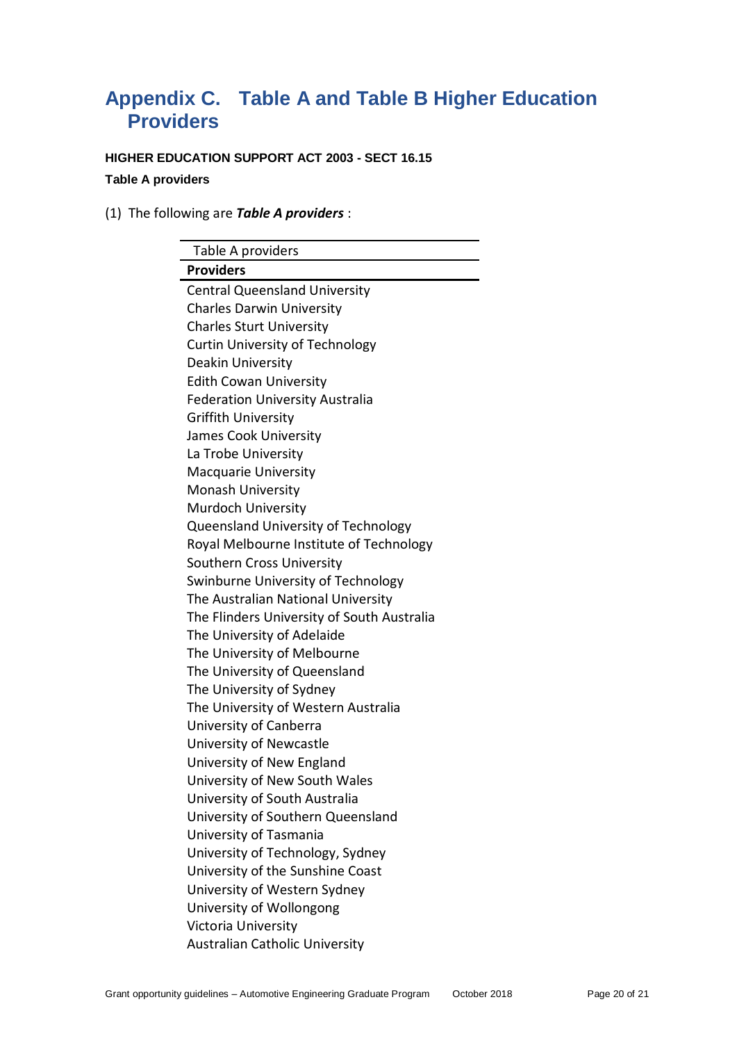## **Appendix C. Table A and Table B Higher Education Providers**

**HIGHER EDUCATION SUPPORT ACT 2003 - SECT 16.15 Table A providers**

(1) The following are *Table A providers* :

| Table A providers                          |
|--------------------------------------------|
| <b>Providers</b>                           |
| <b>Central Queensland University</b>       |
| <b>Charles Darwin University</b>           |
| <b>Charles Sturt University</b>            |
| <b>Curtin University of Technology</b>     |
| Deakin University                          |
| <b>Edith Cowan University</b>              |
| <b>Federation University Australia</b>     |
| <b>Griffith University</b>                 |
| James Cook University                      |
| La Trobe University                        |
| Macquarie University                       |
| <b>Monash University</b>                   |
| Murdoch University                         |
| Queensland University of Technology        |
| Royal Melbourne Institute of Technology    |
| Southern Cross University                  |
| Swinburne University of Technology         |
| The Australian National University         |
| The Flinders University of South Australia |
| The University of Adelaide                 |
| The University of Melbourne                |
| The University of Queensland               |
| The University of Sydney                   |
| The University of Western Australia        |
| University of Canberra                     |
| University of Newcastle                    |
| University of New England                  |
| University of New South Wales              |
| University of South Australia              |
| University of Southern Queensland          |
| University of Tasmania                     |
| University of Technology, Sydney           |
| University of the Sunshine Coast           |
| University of Western Sydney               |
| University of Wollongong                   |
| Victoria University                        |
| <b>Australian Catholic University</b>      |